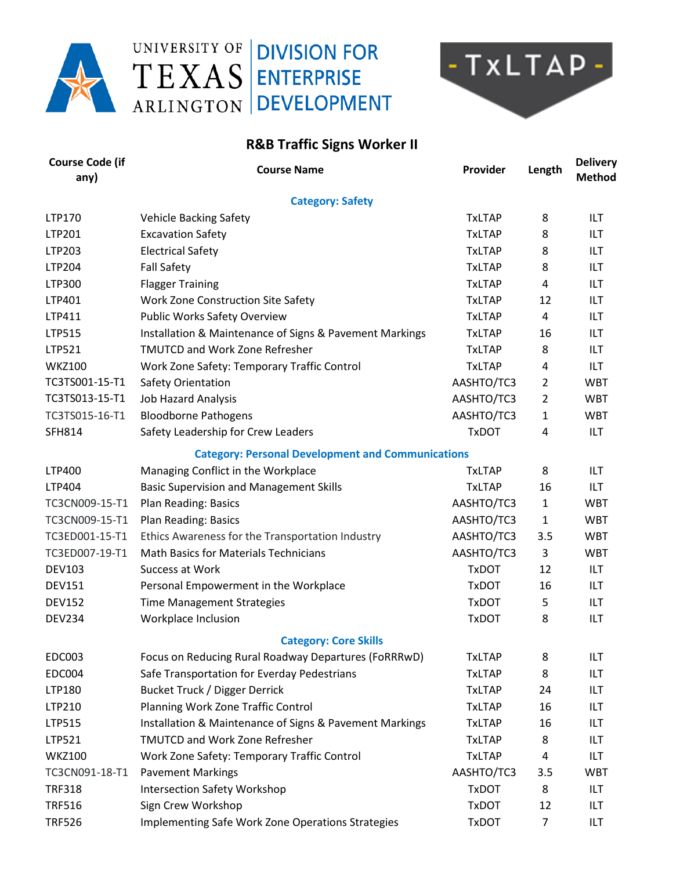

## UNIVERSITY OF **DIVISION FOR** TEXAS ENTERPRISE ARLINGTON DEVELOPMENT



## **R&B Traffic Signs Worker II**

| <b>Course Code (if</b><br>any) | <b>Course Name</b>                                       | Provider      | Length         | <b>Delivery</b><br><b>Method</b> |  |  |
|--------------------------------|----------------------------------------------------------|---------------|----------------|----------------------------------|--|--|
| <b>Category: Safety</b>        |                                                          |               |                |                                  |  |  |
| <b>LTP170</b>                  | <b>Vehicle Backing Safety</b>                            | <b>TxLTAP</b> | 8              | ILT                              |  |  |
| LTP201                         | <b>Excavation Safety</b>                                 | <b>TxLTAP</b> | 8              | ILT                              |  |  |
| LTP203                         | <b>Electrical Safety</b>                                 | <b>TxLTAP</b> | 8              | <b>ILT</b>                       |  |  |
| LTP204                         | <b>Fall Safety</b>                                       | <b>TxLTAP</b> | 8              | ILT                              |  |  |
| LTP300                         | <b>Flagger Training</b>                                  | <b>TxLTAP</b> | 4              | ILT                              |  |  |
| LTP401                         | Work Zone Construction Site Safety                       | <b>TxLTAP</b> | 12             | ILT                              |  |  |
| LTP411                         | <b>Public Works Safety Overview</b>                      | <b>TxLTAP</b> | 4              | <b>ILT</b>                       |  |  |
| LTP515                         | Installation & Maintenance of Signs & Pavement Markings  | <b>TxLTAP</b> | 16             | ILT                              |  |  |
| LTP521                         | <b>TMUTCD and Work Zone Refresher</b>                    | <b>TxLTAP</b> | 8              | ILT                              |  |  |
| <b>WKZ100</b>                  | Work Zone Safety: Temporary Traffic Control              | <b>TxLTAP</b> | 4              | ILT                              |  |  |
| TC3TS001-15-T1                 | Safety Orientation                                       | AASHTO/TC3    | 2              | <b>WBT</b>                       |  |  |
| TC3TS013-15-T1                 | <b>Job Hazard Analysis</b>                               | AASHTO/TC3    | $\overline{2}$ | <b>WBT</b>                       |  |  |
| TC3TS015-16-T1                 | <b>Bloodborne Pathogens</b>                              | AASHTO/TC3    | 1              | <b>WBT</b>                       |  |  |
| <b>SFH814</b>                  | Safety Leadership for Crew Leaders                       | <b>TxDOT</b>  | 4              | ILT                              |  |  |
|                                | <b>Category: Personal Development and Communications</b> |               |                |                                  |  |  |
| <b>LTP400</b>                  | Managing Conflict in the Workplace                       | <b>TxLTAP</b> | 8              | ILT                              |  |  |
| LTP404                         | <b>Basic Supervision and Management Skills</b>           | <b>TxLTAP</b> | 16             | <b>ILT</b>                       |  |  |
| TC3CN009-15-T1                 | Plan Reading: Basics                                     | AASHTO/TC3    | 1              | <b>WBT</b>                       |  |  |
| TC3CN009-15-T1                 | Plan Reading: Basics                                     | AASHTO/TC3    | 1              | <b>WBT</b>                       |  |  |
| TC3ED001-15-T1                 | Ethics Awareness for the Transportation Industry         | AASHTO/TC3    | 3.5            | <b>WBT</b>                       |  |  |
| TC3ED007-19-T1                 | <b>Math Basics for Materials Technicians</b>             | AASHTO/TC3    | 3              | <b>WBT</b>                       |  |  |
| <b>DEV103</b>                  | Success at Work                                          | <b>TxDOT</b>  | 12             | <b>ILT</b>                       |  |  |
| <b>DEV151</b>                  | Personal Empowerment in the Workplace                    | <b>TxDOT</b>  | 16             | ILT                              |  |  |
| <b>DEV152</b>                  | <b>Time Management Strategies</b>                        | <b>TxDOT</b>  | 5              | ILT                              |  |  |
| <b>DEV234</b>                  | Workplace Inclusion                                      | <b>TxDOT</b>  | 8              | ILT                              |  |  |
|                                | <b>Category: Core Skills</b>                             |               |                |                                  |  |  |
| <b>EDC003</b>                  | Focus on Reducing Rural Roadway Departures (FoRRRwD)     | <b>TxLTAP</b> | 8              | ILT                              |  |  |
| <b>EDC004</b>                  | Safe Transportation for Everday Pedestrians              | <b>TxLTAP</b> | 8              | ILT                              |  |  |
| LTP180                         | <b>Bucket Truck / Digger Derrick</b>                     | <b>TxLTAP</b> | 24             | ILT                              |  |  |
| LTP210                         | Planning Work Zone Traffic Control                       | <b>TxLTAP</b> | 16             | ILT                              |  |  |
| LTP515                         | Installation & Maintenance of Signs & Pavement Markings  | <b>TxLTAP</b> | 16             | ILT                              |  |  |
| LTP521                         | <b>TMUTCD and Work Zone Refresher</b>                    | <b>TxLTAP</b> | 8              | ILT                              |  |  |
| <b>WKZ100</b>                  | Work Zone Safety: Temporary Traffic Control              | <b>TxLTAP</b> | 4              | ILT                              |  |  |
| TC3CN091-18-T1                 | <b>Pavement Markings</b>                                 | AASHTO/TC3    | 3.5            | <b>WBT</b>                       |  |  |
| <b>TRF318</b>                  | <b>Intersection Safety Workshop</b>                      | <b>TxDOT</b>  | 8              | ILT                              |  |  |
| <b>TRF516</b>                  | Sign Crew Workshop                                       | <b>TxDOT</b>  | 12             | ILT                              |  |  |
| <b>TRF526</b>                  | Implementing Safe Work Zone Operations Strategies        | <b>TxDOT</b>  | 7              | ILT                              |  |  |